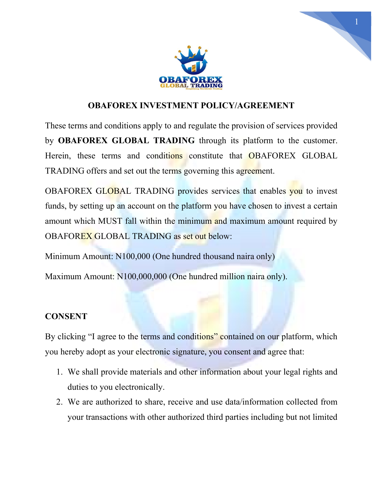

1

## OBAFOREX INVESTMENT POLICY/AGREEMENT

These terms and conditions apply to and regulate the provision of services provided by OBAFOREX GLOBAL TRADING through its platform to the customer. Herein, these terms and conditions constitute that OBAFOREX GLOBAL TRADING offers and set out the terms governing this agreement.

OBAFOREX GLOBAL TRADING provides services that enables you to invest funds, by setting up an account on the platform you have chosen to invest a certain amount which MUST fall within the minimum and maximum amount required by OBAFOREX GLOBAL TRADING as set out below:

Minimum Amount: N100,000 (One hundred thousand naira only)

Maximum Amount: N100,000,000 (One hundred million naira only).

## **CONSENT**

By clicking "I agree to the terms and conditions" contained on our platform, which you hereby adopt as your electronic signature, you consent and agree that:

- 1. We shall provide materials and other information about your legal rights and duties to you electronically.
- 2. We are authorized to share, receive and use data/information collected from your transactions with other authorized third parties including but not limited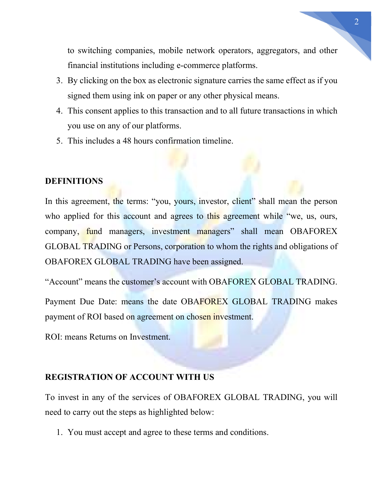to switching companies, mobile network operators, aggregators, and other financial institutions including e-commerce platforms.

- 3. By clicking on the box as electronic signature carries the same effect as if you signed them using ink on paper or any other physical means.
- 4. This consent applies to this transaction and to all future transactions in which you use on any of our platforms.
- 5. This includes a 48 hours confirmation timeline.

### **DEFINITIONS**

In this agreement, the terms: "you, yours, investor, client" shall mean the person who applied for this account and agrees to this agreement while "we, us, ours, company, fund managers, investment managers" shall mean OBAFOREX GLOBAL TRADING or Persons, corporation to whom the rights and obligations of OBAFOREX GLOBAL TRADING have been assigned.

"Account" means the customer's account with OBAFOREX GLOBAL TRADING.

Payment Due Date: means the date OBAFOREX GLOBAL TRADING makes payment of ROI based on agreement on chosen investment.

ROI: means Returns on Investment.

## REGISTRATION OF ACCOUNT WITH US

To invest in any of the services of OBAFOREX GLOBAL TRADING, you will need to carry out the steps as highlighted below:

1. You must accept and agree to these terms and conditions.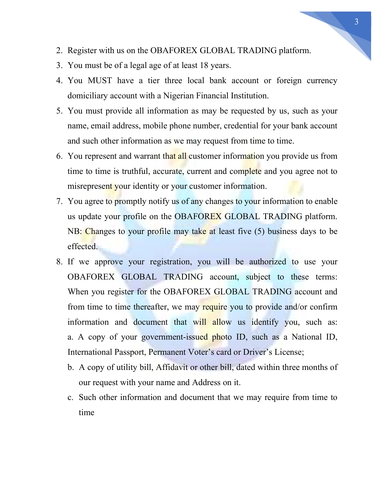- 2. Register with us on the OBAFOREX GLOBAL TRADING platform.
- 3. You must be of a legal age of at least 18 years.
- 4. You MUST have a tier three local bank account or foreign currency domiciliary account with a Nigerian Financial Institution.
- 5. You must provide all information as may be requested by us, such as your name, email address, mobile phone number, credential for your bank account and such other information as we may request from time to time.
- 6. You represent and warrant that all customer information you provide us from time to time is truthful, accurate, current and complete and you agree not to misrepresent your identity or your customer information.
- 7. You agree to promptly notify us of any changes to your information to enable us update your profile on the OBAFOREX GLOBAL TRADING platform. NB: Changes to your profile may take at least five (5) business days to be effected.
- 8. If we approve your registration, you will be authorized to use your OBAFOREX GLOBAL TRADING account, subject to these terms: When you register for the OBAFOREX GLOBAL TRADING account and from time to time thereafter, we may require you to provide and/or confirm information and document that will allow us identify you, such as: a. A copy of your government-issued photo ID, such as a National ID, International Passport, Permanent Voter's card or Driver's License;
	- b. A copy of utility bill, Affidavit or other bill, dated within three months of our request with your name and Address on it.
	- c. Such other information and document that we may require from time to time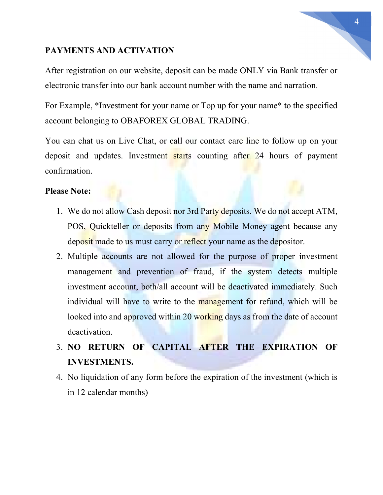## PAYMENTS AND ACTIVATION

After registration on our website, deposit can be made ONLY via Bank transfer or electronic transfer into our bank account number with the name and narration.

For Example, \*Investment for your name or Top up for your name\* to the specified account belonging to OBAFOREX GLOBAL TRADING.

You can chat us on Live Chat, or call our contact care line to follow up on your deposit and updates. Investment starts counting after 24 hours of payment confirmation.

## Please Note:

- 1. We do not allow Cash deposit nor 3rd Party deposits. We do not accept ATM, POS, Quickteller or deposits from any Mobile Money agent because any deposit made to us must carry or reflect your name as the depositor.
- 2. Multiple accounts are not allowed for the purpose of proper investment management and prevention of fraud, if the system detects multiple investment account, both/all account will be deactivated immediately. Such individual will have to write to the management for refund, which will be looked into and approved within 20 working days as from the date of account deactivation.

# 3. NO RETURN OF CAPITAL AFTER THE EXPIRATION OF INVESTMENTS.

4. No liquidation of any form before the expiration of the investment (which is in 12 calendar months)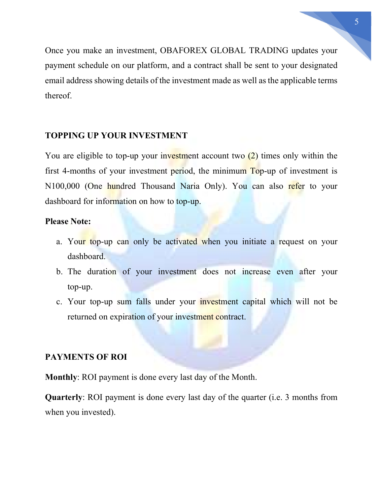Once you make an investment, OBAFOREX GLOBAL TRADING updates your payment schedule on our platform, and a contract shall be sent to your designated email address showing details of the investment made as well as the applicable terms thereof.

## TOPPING UP YOUR INVESTMENT

You are eligible to top-up your investment account two  $(2)$  times only within the first 4-months of your investment period, the minimum Top-up of investment is N100,000 (One hundred Thousand Naria Only). You can also refer to your dashboard for information on how to top-up.

## Please Note:

- a. Your top-up can only be activated when you initiate a request on your dashboard.
- b. The duration of your investment does not increase even after your top-up.
- c. Your top-up sum falls under your investment capital which will not be returned on expiration of your investment contract.

## PAYMENTS OF ROI

Monthly: ROI payment is done every last day of the Month.

Quarterly: ROI payment is done every last day of the quarter (i.e. 3 months from when you invested).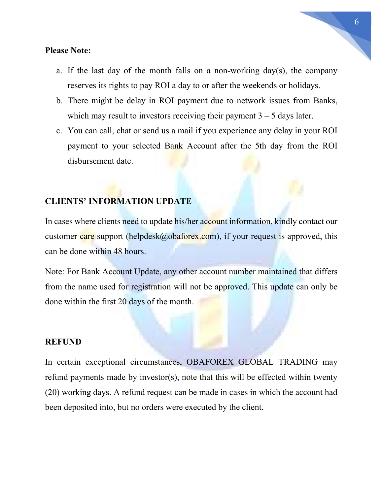#### Please Note:

- a. If the last day of the month falls on a non-working day(s), the company reserves its rights to pay ROI a day to or after the weekends or holidays.
- b. There might be delay in ROI payment due to network issues from Banks, which may result to investors receiving their payment  $3 - 5$  days later.
- c. You can call, chat or send us a mail if you experience any delay in your ROI payment to your selected Bank Account after the 5th day from the ROI disbursement date.

## CLIENTS' INFORMATION UPDATE

In cases where clients need to update his/her account information, kindly contact our customer care support (helpdesk@obaforex.com), if your request is approved, this can be done within 48 hours.

Note: For Bank Account Update, any other account number maintained that differs from the name used for registration will not be approved. This update can only be done within the first 20 days of the month.

#### REFUND

In certain exceptional circumstances, OBAFOREX GLOBAL TRADING may refund payments made by investor(s), note that this will be effected within twenty (20) working days. A refund request can be made in cases in which the account had been deposited into, but no orders were executed by the client.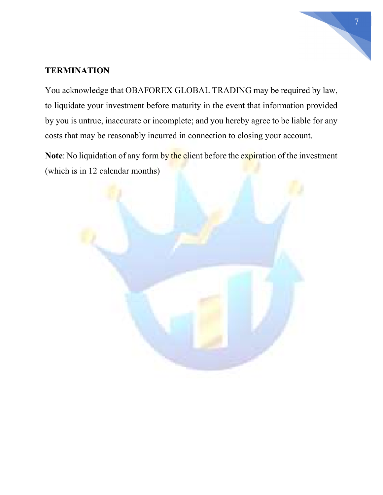# 7

## **TERMINATION**

You acknowledge that OBAFOREX GLOBAL TRADING may be required by law, to liquidate your investment before maturity in the event that information provided by you is untrue, inaccurate or incomplete; and you hereby agree to be liable for any costs that may be reasonably incurred in connection to closing your account.

Note: No liquidation of any form by the client before the expiration of the investment (which is in 12 calendar months)

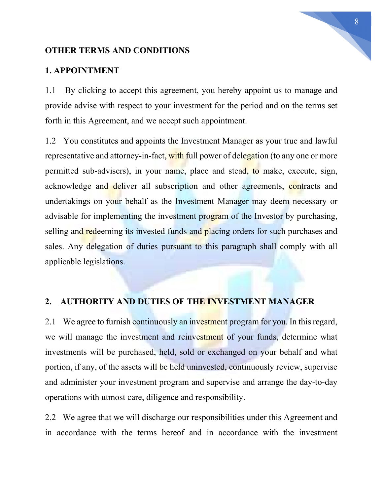## OTHER TERMS AND CONDITIONS

#### 1. APPOINTMENT

1.1 By clicking to accept this agreement, you hereby appoint us to manage and provide advise with respect to your investment for the period and on the terms set forth in this Agreement, and we accept such appointment.

1.2 You constitutes and appoints the Investment Manager as your true and lawful representative and attorney-in-fact, with full power of delegation (to any one or more permitted sub-advisers), in your name, place and stead, to make, execute, sign, acknowledge and deliver all subscription and other agreements, contracts and undertakings on your behalf as the Investment Manager may deem necessary or advisable for implementing the investment program of the Investor by purchasing, selling and redeeming its invested funds and placing orders for such purchases and sales. Any delegation of duties pursuant to this paragraph shall comply with all applicable legislations.

## 2. AUTHORITY AND DUTIES OF THE INVESTMENT MANAGER

2.1 We agree to furnish continuously an investment program for you. In this regard, we will manage the investment and reinvestment of your funds, determine what investments will be purchased, held, sold or exchanged on your behalf and what portion, if any, of the assets will be held uninvested, continuously review, supervise and administer your investment program and supervise and arrange the day-to-day operations with utmost care, diligence and responsibility.

2.2 We agree that we will discharge our responsibilities under this Agreement and in accordance with the terms hereof and in accordance with the investment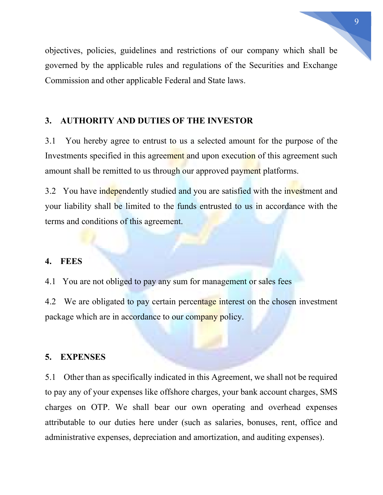objectives, policies, guidelines and restrictions of our company which shall be governed by the applicable rules and regulations of the Securities and Exchange Commission and other applicable Federal and State laws.

## 3. AUTHORITY AND DUTIES OF THE INVESTOR

3.1 You hereby agree to entrust to us a selected amount for the purpose of the Investments specified in this agreement and upon execution of this agreement such amount shall be remitted to us through our approved payment platforms.

3.2 You have independently studied and you are satisfied with the investment and your liability shall be limited to the funds entrusted to us in accordance with the terms and conditions of this agreement.

## 4. FEES

4.1 You are not obliged to pay any sum for management or sales fees

4.2 We are obligated to pay certain percentage interest on the chosen investment package which are in accordance to our company policy.

#### 5. EXPENSES

5.1 Other than as specifically indicated in this Agreement, we shall not be required to pay any of your expenses like offshore charges, your bank account charges, SMS charges on OTP. We shall bear our own operating and overhead expenses attributable to our duties here under (such as salaries, bonuses, rent, office and administrative expenses, depreciation and amortization, and auditing expenses).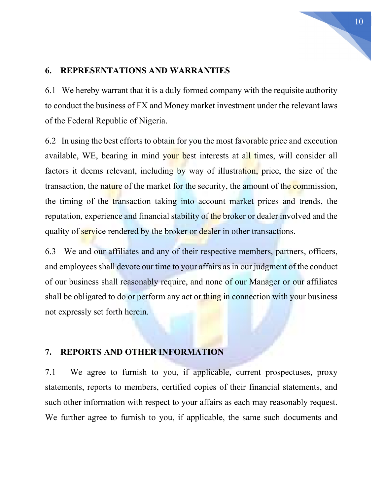## 6. REPRESENTATIONS AND WARRANTIES

6.1 We hereby warrant that it is a duly formed company with the requisite authority to conduct the business of FX and Money market investment under the relevant laws of the Federal Republic of Nigeria.

6.2 In using the best efforts to obtain for you the most favorable price and execution available, WE, bearing in mind your best interests at all times, will consider all factors it deems relevant, including by way of illustration, price, the size of the transaction, the nature of the market for the security, the amount of the commission, the timing of the transaction taking into account market prices and trends, the reputation, experience and financial stability of the broker or dealer involved and the quality of service rendered by the broker or dealer in other transactions.

6.3 We and our affiliates and any of their respective members, partners, officers, and employees shall devote our time to your affairs as in our judgment of the conduct of our business shall reasonably require, and none of our Manager or our affiliates shall be obligated to do or perform any act or thing in connection with your business not expressly set forth herein.

## 7. REPORTS AND OTHER INFORMATION

7.1 We agree to furnish to you, if applicable, current prospectuses, proxy statements, reports to members, certified copies of their financial statements, and such other information with respect to your affairs as each may reasonably request. We further agree to furnish to you, if applicable, the same such documents and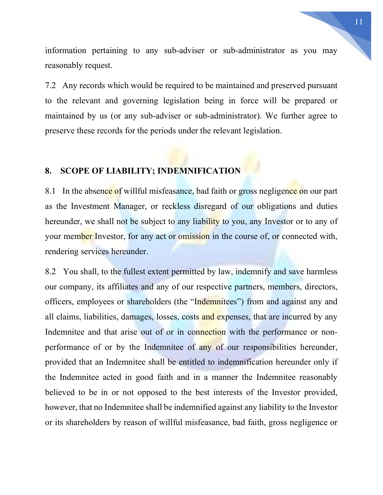information pertaining to any sub-adviser or sub-administrator as you may reasonably request.

7.2 Any records which would be required to be maintained and preserved pursuant to the relevant and governing legislation being in force will be prepared or maintained by us (or any sub-adviser or sub-administrator). We further agree to preserve these records for the periods under the relevant legislation.

# 8. SCOPE OF LIABILITY; INDEMNIFICATION

8.1 In the absence of willful misfeasance, bad faith or gross negligence on our part as the Investment Manager, or reckless disregard of our obligations and duties hereunder, we shall not be subject to any liability to you, any Investor or to any of your member Investor, for any act or omission in the course of, or connected with, rendering services hereunder.

8.2 You shall, to the fullest extent permitted by law, indemnify and save harmless our company, its affiliates and any of our respective partners, members, directors, officers, employees or shareholders (the "Indemnitees") from and against any and all claims, liabilities, damages, losses, costs and expenses, that are incurred by any Indemnitee and that arise out of or in connection with the performance or nonperformance of or by the Indemnitee of any of our responsibilities hereunder, provided that an Indemnitee shall be entitled to indemnification hereunder only if the Indemnitee acted in good faith and in a manner the Indemnitee reasonably believed to be in or not opposed to the best interests of the Investor provided, however, that no Indemnitee shall be indemnified against any liability to the Investor or its shareholders by reason of willful misfeasance, bad faith, gross negligence or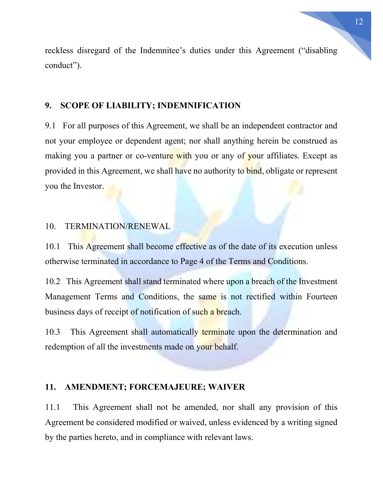reckless disregard of the Indemnitee's duties under this Agreement ("disabling conduct").

## 9. SCOPE OF LIABILITY; INDEMNIFICATION

9.1 For all purposes of this Agreement, we shall be an independent contractor and not your employee or dependent agent; nor shall anything herein be construed as making you a partner or co-venture with you or any of your affiliates. Except as provided in this Agreement, we shall have no authority to bind, obligate or represent you the Investor.

## 10. TERMINATION/RENEWAL

10.1 This Agreement shall become effective as of the date of its execution unless otherwise terminated in accordance to Page 4 of the Terms and Conditions.

10.2 This Agreement shall stand terminated where upon a breach of the Investment Management Terms and Conditions, the same is not rectified within Fourteen business days of receipt of notification of such a breach.

10.3 This Agreement shall automatically terminate upon the determination and redemption of all the investments made on your behalf.

#### 11. AMENDMENT; FORCEMAJEURE; WAIVER

11.1 This Agreement shall not be amended, nor shall any provision of this Agreement be considered modified or waived, unless evidenced by a writing signed by the parties hereto, and in compliance with relevant laws.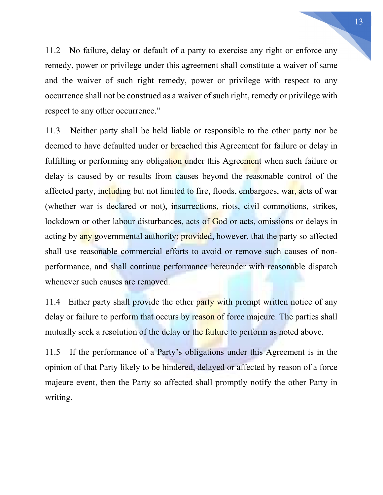11.2 No failure, delay or default of a party to exercise any right or enforce any remedy, power or privilege under this agreement shall constitute a waiver of same and the waiver of such right remedy, power or privilege with respect to any occurrence shall not be construed as a waiver of such right, remedy or privilege with respect to any other occurrence."

11.3 Neither party shall be held liable or responsible to the other party nor be deemed to have defaulted under or **breached** this Agreement for failure or delay in fulfilling or performing any obligation under this Agreement when such failure or delay is caused by or results from causes beyond the reasonable control of the affected party, including but not limited to fire, floods, embargoes, war, acts of war (whether war is declared or not), insurrections, riots, civil commotions, strikes, lockdown or other labour disturbances, acts of God or acts, omissions or delays in acting by any governmental authority; provided, however, that the party so affected shall use reasonable commercial efforts to avoid or remove such causes of nonperformance, and shall continue performance hereunder with reasonable dispatch whenever such causes are removed.

11.4 Either party shall provide the other party with prompt written notice of any delay or failure to perform that occurs by reason of force majeure. The parties shall mutually seek a resolution of the delay or the failure to perform as noted above.

11.5 If the performance of a Party's obligations under this Agreement is in the opinion of that Party likely to be hindered, delayed or affected by reason of a force majeure event, then the Party so affected shall promptly notify the other Party in writing.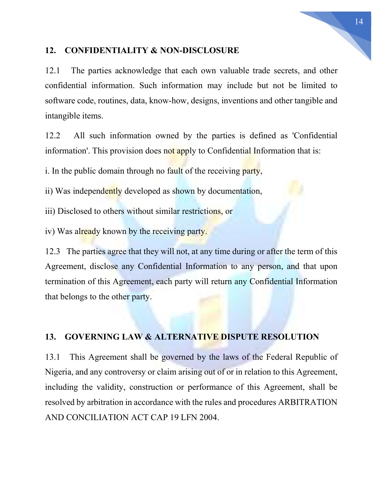## 12. CONFIDENTIALITY & NON-DISCLOSURE

12.1 The parties acknowledge that each own valuable trade secrets, and other confidential information. Such information may include but not be limited to software code, routines, data, know-how, designs, inventions and other tangible and intangible items.

12.2 All such information owned by the parties is defined as 'Confidential information'. This provision does not apply to Confidential Information that is:

i. In the public domain through no fault of the receiving party,

ii) Was independently developed as shown by documentation,

iii) Disclosed to others without similar restrictions, or

iv) Was already known by the receiving party.

12.3 The parties agree that they will not, at any time during or after the term of this Agreement, disclose any Confidential Information to any person, and that upon termination of this Agreement, each party will return any Confidential Information that belongs to the other party.

## 13. GOVERNING LAW & ALTERNATIVE DISPUTE RESOLUTION

13.1 This Agreement shall be governed by the laws of the Federal Republic of Nigeria, and any controversy or claim arising out of or in relation to this Agreement, including the validity, construction or performance of this Agreement, shall be resolved by arbitration in accordance with the rules and procedures ARBITRATION AND CONCILIATION ACT CAP 19 LFN 2004.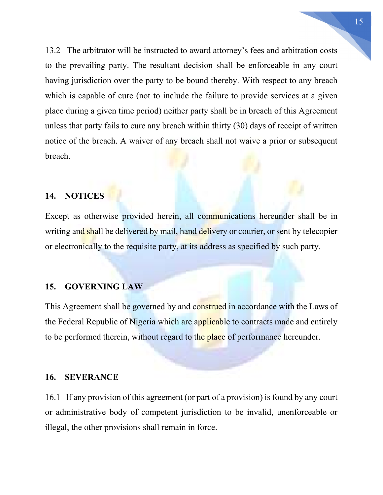13.2 The arbitrator will be instructed to award attorney's fees and arbitration costs to the prevailing party. The resultant decision shall be enforceable in any court having jurisdiction over the party to be bound thereby. With respect to any breach which is capable of cure (not to include the failure to provide services at a given place during a given time period) neither party shall be in breach of this Agreement unless that party fails to cure any breach within thirty (30) days of receipt of written notice of the breach. A waiver of any breach shall not waive a prior or subsequent breach.

## 14. NOTICES

Except as otherwise provided herein, all communications hereunder shall be in writing and shall be delivered by mail, hand delivery or courier, or sent by telecopier or electronically to the requisite party, at its address as specified by such party.

## 15. GOVERNING LAW

This Agreement shall be governed by and construed in accordance with the Laws of the Federal Republic of Nigeria which are applicable to contracts made and entirely to be performed therein, without regard to the place of performance hereunder.

#### 16. SEVERANCE

16.1 If any provision of this agreement (or part of a provision) is found by any court or administrative body of competent jurisdiction to be invalid, unenforceable or illegal, the other provisions shall remain in force.